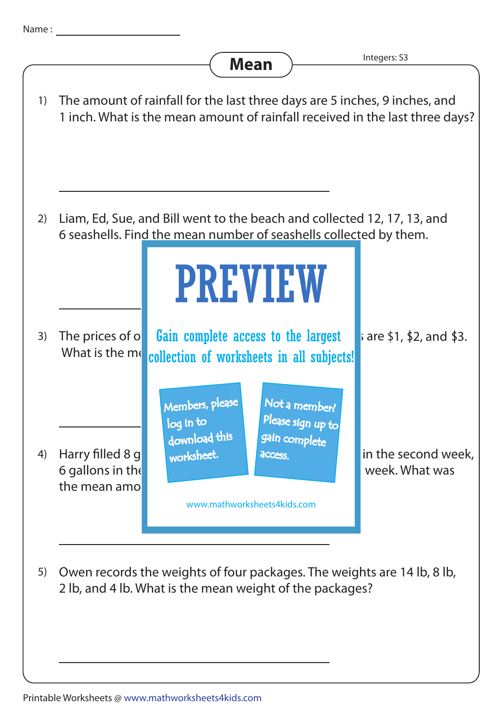